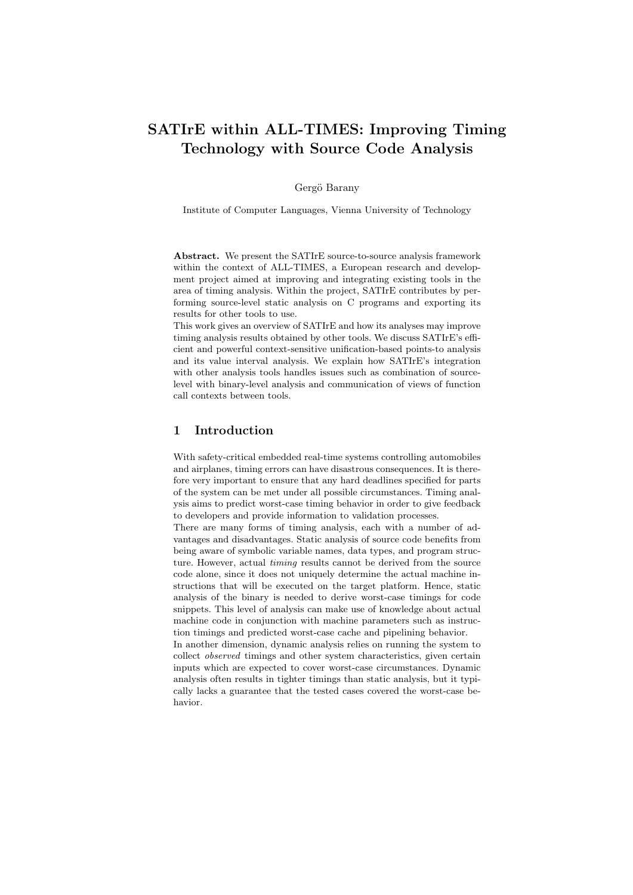# SATIrE within ALL-TIMES: Improving Timing Technology with Source Code Analysis

Gergö Barany

Institute of Computer Languages, Vienna University of Technology

Abstract. We present the SATIrE source-to-source analysis framework within the context of ALL-TIMES, a European research and development project aimed at improving and integrating existing tools in the area of timing analysis. Within the project, SATIrE contributes by performing source-level static analysis on C programs and exporting its results for other tools to use.

This work gives an overview of SATIrE and how its analyses may improve timing analysis results obtained by other tools. We discuss SATIrE's efficient and powerful context-sensitive unification-based points-to analysis and its value interval analysis. We explain how SATIrE's integration with other analysis tools handles issues such as combination of sourcelevel with binary-level analysis and communication of views of function call contexts between tools.

# 1 Introduction

With safety-critical embedded real-time systems controlling automobiles and airplanes, timing errors can have disastrous consequences. It is therefore very important to ensure that any hard deadlines specified for parts of the system can be met under all possible circumstances. Timing analysis aims to predict worst-case timing behavior in order to give feedback to developers and provide information to validation processes.

There are many forms of timing analysis, each with a number of advantages and disadvantages. Static analysis of source code benefits from being aware of symbolic variable names, data types, and program structure. However, actual timing results cannot be derived from the source code alone, since it does not uniquely determine the actual machine instructions that will be executed on the target platform. Hence, static analysis of the binary is needed to derive worst-case timings for code snippets. This level of analysis can make use of knowledge about actual machine code in conjunction with machine parameters such as instruction timings and predicted worst-case cache and pipelining behavior.

In another dimension, dynamic analysis relies on running the system to collect observed timings and other system characteristics, given certain inputs which are expected to cover worst-case circumstances. Dynamic analysis often results in tighter timings than static analysis, but it typically lacks a guarantee that the tested cases covered the worst-case behavior.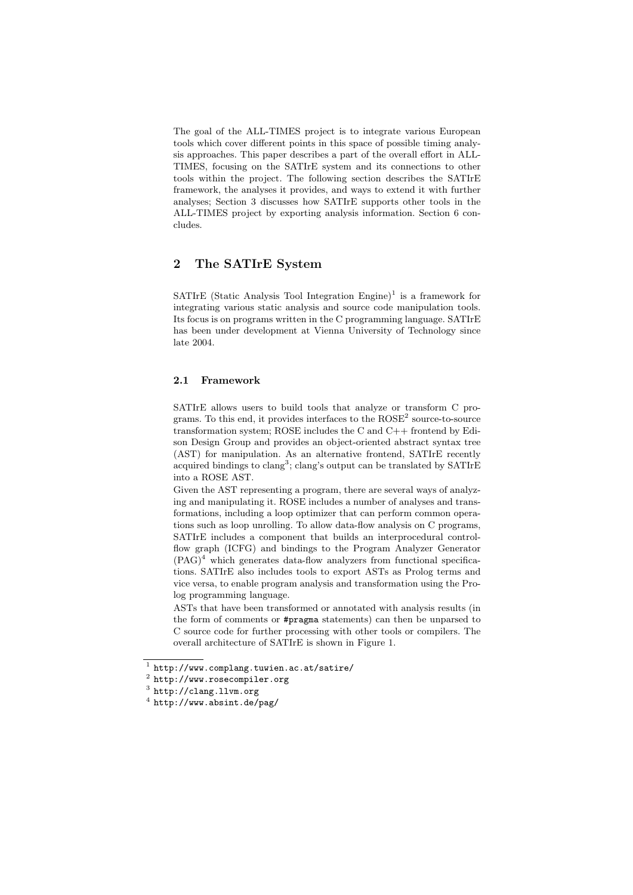The goal of the ALL-TIMES project is to integrate various European tools which cover different points in this space of possible timing analysis approaches. This paper describes a part of the overall effort in ALL-TIMES, focusing on the SATIrE system and its connections to other tools within the project. The following section describes the SATIrE framework, the analyses it provides, and ways to extend it with further analyses; Section 3 discusses how SATIrE supports other tools in the ALL-TIMES project by exporting analysis information. Section 6 concludes.

# 2 The SATIrE System

SATIrE (Static Analysis Tool Integration Engine)<sup>1</sup> is a framework for integrating various static analysis and source code manipulation tools. Its focus is on programs written in the C programming language. SATIrE has been under development at Vienna University of Technology since late 2004.

#### 2.1 Framework

SATIrE allows users to build tools that analyze or transform C programs. To this end, it provides interfaces to the  $\text{ROSE}^2$  source-to-source transformation system; ROSE includes the C and C++ frontend by Edison Design Group and provides an object-oriented abstract syntax tree (AST) for manipulation. As an alternative frontend, SATIrE recently acquired bindings to clang<sup>3</sup>; clang's output can be translated by SATIrE into a ROSE AST.

Given the AST representing a program, there are several ways of analyzing and manipulating it. ROSE includes a number of analyses and transformations, including a loop optimizer that can perform common operations such as loop unrolling. To allow data-flow analysis on C programs, SATIrE includes a component that builds an interprocedural controlflow graph (ICFG) and bindings to the Program Analyzer Generator  $(PAG)^4$  which generates data-flow analyzers from functional specifications. SATIrE also includes tools to export ASTs as Prolog terms and vice versa, to enable program analysis and transformation using the Prolog programming language.

ASTs that have been transformed or annotated with analysis results (in the form of comments or #pragma statements) can then be unparsed to C source code for further processing with other tools or compilers. The overall architecture of SATIrE is shown in Figure 1.

<sup>1</sup> http://www.complang.tuwien.ac.at/satire/

 $^2$  http://www.rosecompiler.org

 $3$  http://clang.llvm.org

 $^4$  http://www.absint.de/pag/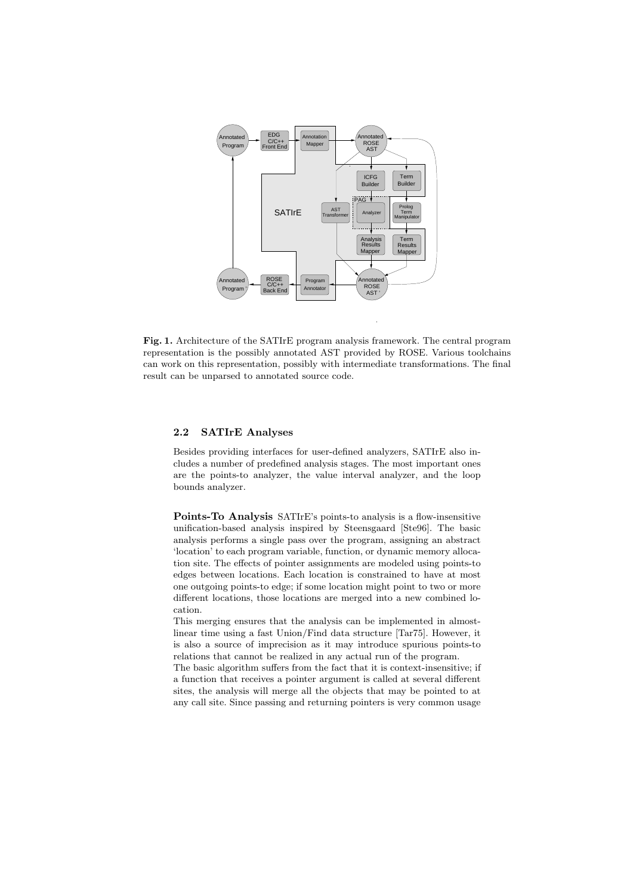

Fig. 1. Architecture of the SATIrE program analysis framework. The central program representation is the possibly annotated AST provided by ROSE. Various toolchains can work on this representation, possibly with intermediate transformations. The final result can be unparsed to annotated source code.

#### 2.2 SATIrE Analyses

Besides providing interfaces for user-defined analyzers, SATIrE also includes a number of predefined analysis stages. The most important ones are the points-to analyzer, the value interval analyzer, and the loop bounds analyzer.

Points-To Analysis SATIrE's points-to analysis is a flow-insensitive unification-based analysis inspired by Steensgaard [Ste96]. The basic analysis performs a single pass over the program, assigning an abstract 'location' to each program variable, function, or dynamic memory allocation site. The effects of pointer assignments are modeled using points-to edges between locations. Each location is constrained to have at most one outgoing points-to edge; if some location might point to two or more different locations, those locations are merged into a new combined location.

This merging ensures that the analysis can be implemented in almostlinear time using a fast Union/Find data structure [Tar75]. However, it is also a source of imprecision as it may introduce spurious points-to relations that cannot be realized in any actual run of the program.

The basic algorithm suffers from the fact that it is context-insensitive; if a function that receives a pointer argument is called at several different sites, the analysis will merge all the objects that may be pointed to at any call site. Since passing and returning pointers is very common usage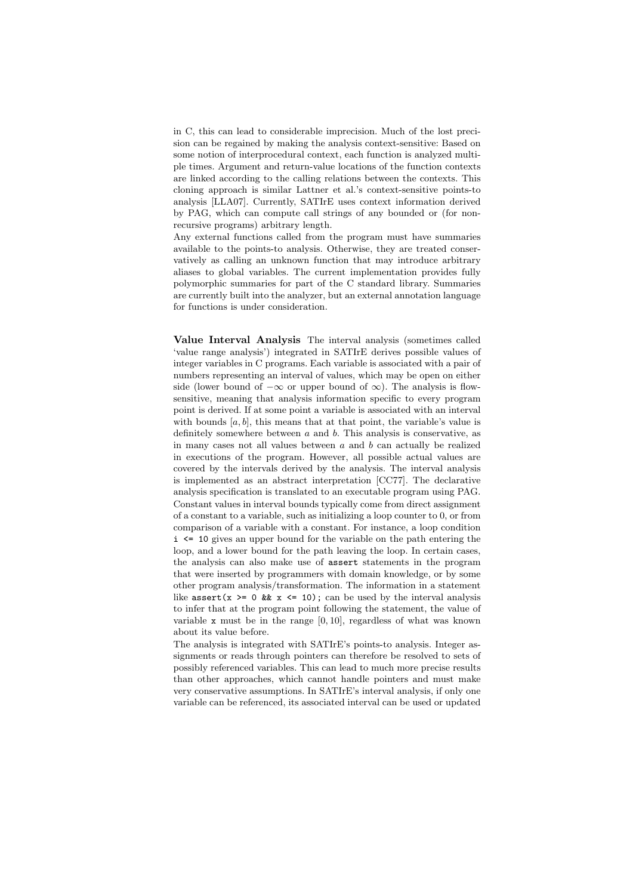in C, this can lead to considerable imprecision. Much of the lost precision can be regained by making the analysis context-sensitive: Based on some notion of interprocedural context, each function is analyzed multiple times. Argument and return-value locations of the function contexts are linked according to the calling relations between the contexts. This cloning approach is similar Lattner et al.'s context-sensitive points-to analysis [LLA07]. Currently, SATIrE uses context information derived by PAG, which can compute call strings of any bounded or (for nonrecursive programs) arbitrary length.

Any external functions called from the program must have summaries available to the points-to analysis. Otherwise, they are treated conservatively as calling an unknown function that may introduce arbitrary aliases to global variables. The current implementation provides fully polymorphic summaries for part of the C standard library. Summaries are currently built into the analyzer, but an external annotation language for functions is under consideration.

Value Interval Analysis The interval analysis (sometimes called 'value range analysis') integrated in SATIrE derives possible values of integer variables in C programs. Each variable is associated with a pair of numbers representing an interval of values, which may be open on either side (lower bound of  $-\infty$  or upper bound of  $\infty$ ). The analysis is flowsensitive, meaning that analysis information specific to every program point is derived. If at some point a variable is associated with an interval with bounds  $[a, b]$ , this means that at that point, the variable's value is definitely somewhere between  $a$  and  $b$ . This analysis is conservative, as in many cases not all values between  $a$  and  $b$  can actually be realized in executions of the program. However, all possible actual values are covered by the intervals derived by the analysis. The interval analysis is implemented as an abstract interpretation [CC77]. The declarative analysis specification is translated to an executable program using PAG. Constant values in interval bounds typically come from direct assignment of a constant to a variable, such as initializing a loop counter to 0, or from comparison of a variable with a constant. For instance, a loop condition i <= 10 gives an upper bound for the variable on the path entering the loop, and a lower bound for the path leaving the loop. In certain cases, the analysis can also make use of assert statements in the program that were inserted by programmers with domain knowledge, or by some other program analysis/transformation. The information in a statement like assert(x >= 0 && x <= 10); can be used by the interval analysis to infer that at the program point following the statement, the value of variable x must be in the range [0, 10], regardless of what was known about its value before.

The analysis is integrated with SATIrE's points-to analysis. Integer assignments or reads through pointers can therefore be resolved to sets of possibly referenced variables. This can lead to much more precise results than other approaches, which cannot handle pointers and must make very conservative assumptions. In SATIrE's interval analysis, if only one variable can be referenced, its associated interval can be used or updated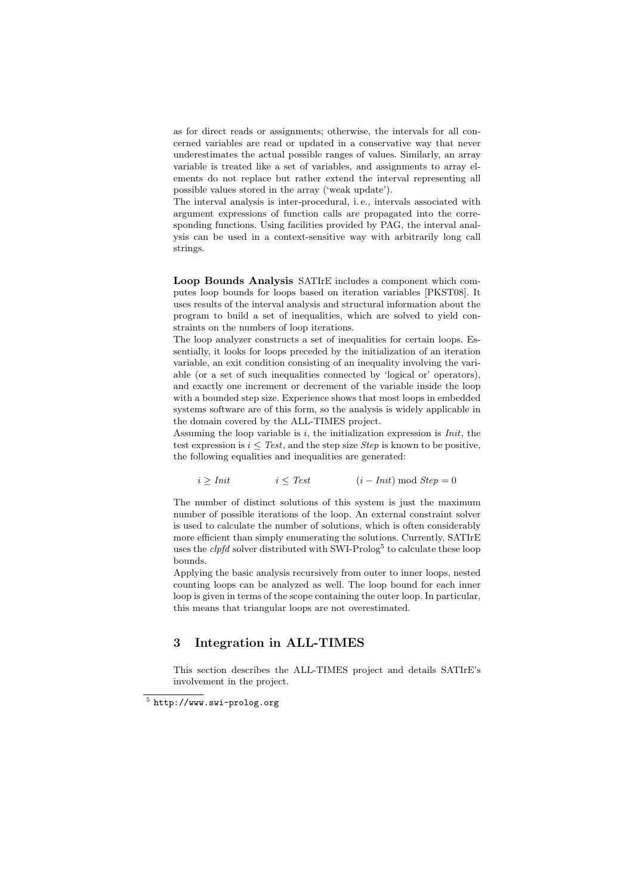as for direct reads or assignments; otherwise, the intervals for all concerned variables are read or updated in a conservative way that never underestimates the actual possible ranges of values. Similarly, an array variable is treated like a set of variables, and assignments to array elements do not replace but rather extend the interval representing all possible values stored in the array ('weak update').

The interval analysis is inter-procedural, i. e., intervals associated with argument expressions of function calls are propagated into the corresponding functions. Using facilities provided by PAG, the interval analysis can be used in a context-sensitive way with arbitrarily long call strings.

Loop Bounds Analysis SATIrE includes a component which computes loop bounds for loops based on iteration variables [PKST08]. It uses results of the interval analysis and structural information about the program to build a set of inequalities, which are solved to yield constraints on the numbers of loop iterations.

The loop analyzer constructs a set of inequalities for certain loops. Essentially, it looks for loops preceded by the initialization of an iteration variable, an exit condition consisting of an inequality involving the variable (or a set of such inequalities connected by 'logical or' operators), and exactly one increment or decrement of the variable inside the loop with a bounded step size. Experience shows that most loops in embedded systems software are of this form, so the analysis is widely applicable in the domain covered by the ALL-TIMES project.

Assuming the loop variable is  $i$ , the initialization expression is *Init*, the test expression is  $i \leq Test$ , and the step size *Step* is known to be positive, the following equalities and inequalities are generated:

 $i \geq Init$   $i \leq Test$   $(i - Init) \bmod Step = 0$ 

The number of distinct solutions of this system is just the maximum number of possible iterations of the loop. An external constraint solver is used to calculate the number of solutions, which is often considerably more efficient than simply enumerating the solutions. Currently, SATIrE uses the *clpfd* solver distributed with SWI-Prolog<sup>5</sup> to calculate these loop bounds.

Applying the basic analysis recursively from outer to inner loops, nested counting loops can be analyzed as well. The loop bound for each inner loop is given in terms of the scope containing the outer loop. In particular, this means that triangular loops are not overestimated.

### 3 Integration in ALL-TIMES

This section describes the ALL-TIMES project and details SATIrE's involvement in the project.

<sup>5</sup> http://www.swi-prolog.org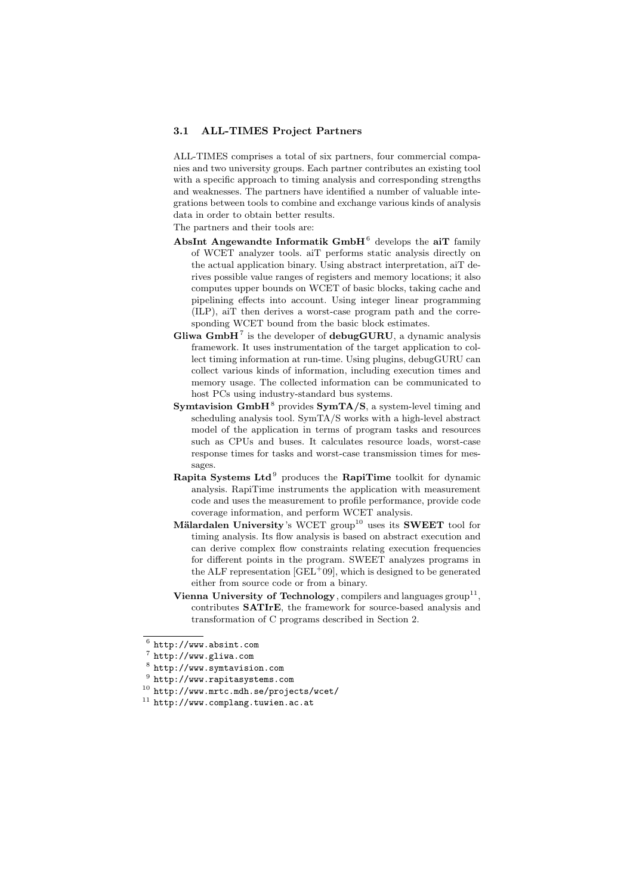#### 3.1 ALL-TIMES Project Partners

ALL-TIMES comprises a total of six partners, four commercial companies and two university groups. Each partner contributes an existing tool with a specific approach to timing analysis and corresponding strengths and weaknesses. The partners have identified a number of valuable integrations between tools to combine and exchange various kinds of analysis data in order to obtain better results.

The partners and their tools are:

- AbsInt Angewandte Informatik  $GmbH^6$  develops the aiT family of WCET analyzer tools. aiT performs static analysis directly on the actual application binary. Using abstract interpretation, aiT derives possible value ranges of registers and memory locations; it also computes upper bounds on WCET of basic blocks, taking cache and pipelining effects into account. Using integer linear programming (ILP), aiT then derives a worst-case program path and the corresponding WCET bound from the basic block estimates.
- Gliwa GmbH<sup>7</sup> is the developer of debugGURU, a dynamic analysis framework. It uses instrumentation of the target application to collect timing information at run-time. Using plugins, debugGURU can collect various kinds of information, including execution times and memory usage. The collected information can be communicated to host PCs using industry-standard bus systems.
- **Symtavision GmbH**<sup>8</sup> provides  $SymTA/S$ , a system-level timing and scheduling analysis tool. SymTA/S works with a high-level abstract model of the application in terms of program tasks and resources such as CPUs and buses. It calculates resource loads, worst-case response times for tasks and worst-case transmission times for messages.
- Rapita Systems  $Ltd^9$  produces the RapiTime toolkit for dynamic analysis. RapiTime instruments the application with measurement code and uses the measurement to profile performance, provide code coverage information, and perform WCET analysis.
- Mälardalen University's WCET group<sup>10</sup> uses its SWEET tool for timing analysis. Its flow analysis is based on abstract execution and can derive complex flow constraints relating execution frequencies for different points in the program. SWEET analyzes programs in the ALF representation  $[GEL^+09]$ , which is designed to be generated either from source code or from a binary.
- Vienna University of Technology, compilers and languages group<sup>11</sup>, contributes SATIrE, the framework for source-based analysis and transformation of C programs described in Section 2.

<sup>10</sup> http://www.mrtc.mdh.se/projects/wcet/

 $^6$  http://www.absint.com

<sup>7</sup> http://www.gliwa.com

<sup>8</sup> http://www.symtavision.com

 $^{9}$  http://www.rapitasystems.com

<sup>11</sup> http://www.complang.tuwien.ac.at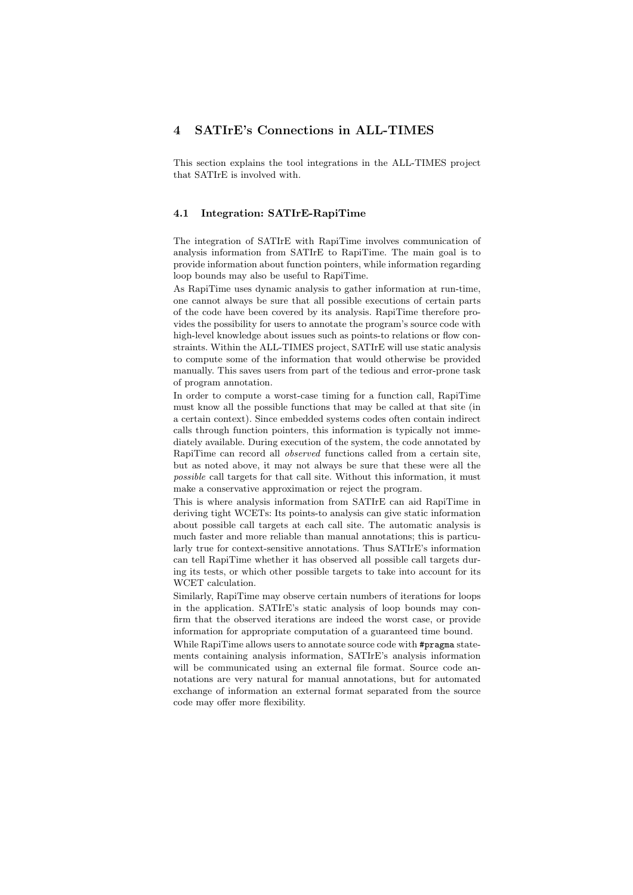### 4 SATIrE's Connections in ALL-TIMES

This section explains the tool integrations in the ALL-TIMES project that SATIrE is involved with.

#### 4.1 Integration: SATIrE-RapiTime

The integration of SATIrE with RapiTime involves communication of analysis information from SATIrE to RapiTime. The main goal is to provide information about function pointers, while information regarding loop bounds may also be useful to RapiTime.

As RapiTime uses dynamic analysis to gather information at run-time, one cannot always be sure that all possible executions of certain parts of the code have been covered by its analysis. RapiTime therefore provides the possibility for users to annotate the program's source code with high-level knowledge about issues such as points-to relations or flow constraints. Within the ALL-TIMES project, SATIrE will use static analysis to compute some of the information that would otherwise be provided manually. This saves users from part of the tedious and error-prone task of program annotation.

In order to compute a worst-case timing for a function call, RapiTime must know all the possible functions that may be called at that site (in a certain context). Since embedded systems codes often contain indirect calls through function pointers, this information is typically not immediately available. During execution of the system, the code annotated by RapiTime can record all observed functions called from a certain site, but as noted above, it may not always be sure that these were all the possible call targets for that call site. Without this information, it must make a conservative approximation or reject the program.

This is where analysis information from SATIrE can aid RapiTime in deriving tight WCETs: Its points-to analysis can give static information about possible call targets at each call site. The automatic analysis is much faster and more reliable than manual annotations; this is particularly true for context-sensitive annotations. Thus SATIrE's information can tell RapiTime whether it has observed all possible call targets during its tests, or which other possible targets to take into account for its WCET calculation.

Similarly, RapiTime may observe certain numbers of iterations for loops in the application. SATIrE's static analysis of loop bounds may confirm that the observed iterations are indeed the worst case, or provide information for appropriate computation of a guaranteed time bound.

While RapiTime allows users to annotate source code with **#pragma** statements containing analysis information, SATIrE's analysis information will be communicated using an external file format. Source code annotations are very natural for manual annotations, but for automated exchange of information an external format separated from the source code may offer more flexibility.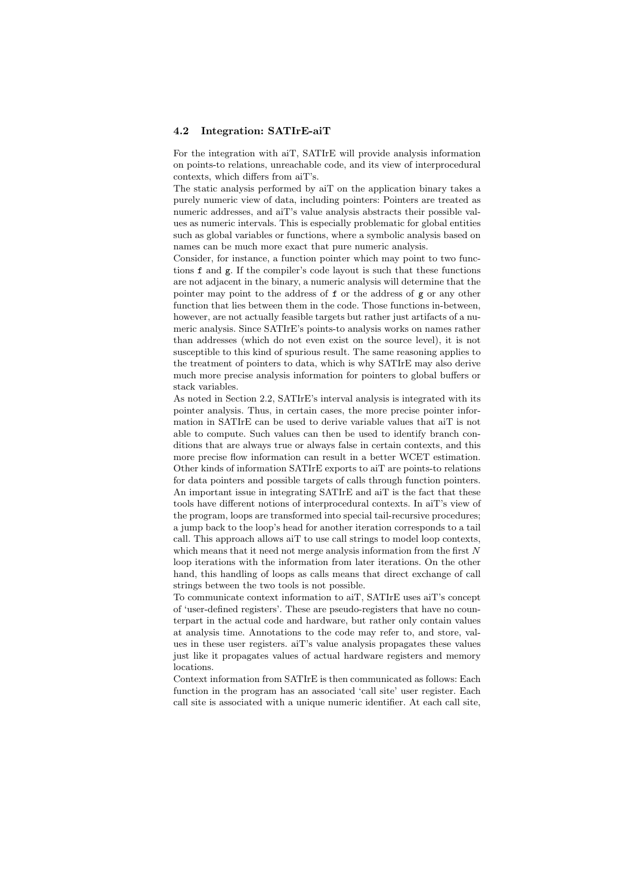#### 4.2 Integration: SATIrE-aiT

For the integration with aiT, SATIrE will provide analysis information on points-to relations, unreachable code, and its view of interprocedural contexts, which differs from aiT's.

The static analysis performed by aiT on the application binary takes a purely numeric view of data, including pointers: Pointers are treated as numeric addresses, and aiT's value analysis abstracts their possible values as numeric intervals. This is especially problematic for global entities such as global variables or functions, where a symbolic analysis based on names can be much more exact that pure numeric analysis.

Consider, for instance, a function pointer which may point to two functions f and g. If the compiler's code layout is such that these functions are not adjacent in the binary, a numeric analysis will determine that the pointer may point to the address of f or the address of g or any other function that lies between them in the code. Those functions in-between, however, are not actually feasible targets but rather just artifacts of a numeric analysis. Since SATIrE's points-to analysis works on names rather than addresses (which do not even exist on the source level), it is not susceptible to this kind of spurious result. The same reasoning applies to the treatment of pointers to data, which is why SATIrE may also derive much more precise analysis information for pointers to global buffers or stack variables.

As noted in Section 2.2, SATIrE's interval analysis is integrated with its pointer analysis. Thus, in certain cases, the more precise pointer information in SATIrE can be used to derive variable values that aiT is not able to compute. Such values can then be used to identify branch conditions that are always true or always false in certain contexts, and this more precise flow information can result in a better WCET estimation. Other kinds of information SATIrE exports to aiT are points-to relations for data pointers and possible targets of calls through function pointers. An important issue in integrating SATIrE and aiT is the fact that these tools have different notions of interprocedural contexts. In aiT's view of the program, loops are transformed into special tail-recursive procedures; a jump back to the loop's head for another iteration corresponds to a tail call. This approach allows aiT to use call strings to model loop contexts, which means that it need not merge analysis information from the first  $N$ loop iterations with the information from later iterations. On the other hand, this handling of loops as calls means that direct exchange of call strings between the two tools is not possible.

To communicate context information to aiT, SATIrE uses aiT's concept of 'user-defined registers'. These are pseudo-registers that have no counterpart in the actual code and hardware, but rather only contain values at analysis time. Annotations to the code may refer to, and store, values in these user registers. aiT's value analysis propagates these values just like it propagates values of actual hardware registers and memory locations.

Context information from SATIrE is then communicated as follows: Each function in the program has an associated 'call site' user register. Each call site is associated with a unique numeric identifier. At each call site,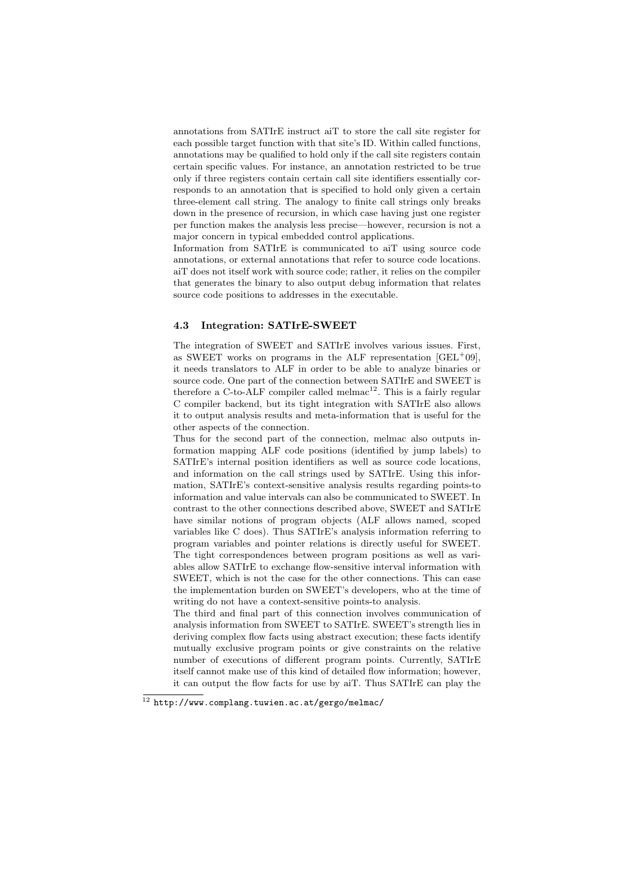annotations from SATIrE instruct aiT to store the call site register for each possible target function with that site's ID. Within called functions, annotations may be qualified to hold only if the call site registers contain certain specific values. For instance, an annotation restricted to be true only if three registers contain certain call site identifiers essentially corresponds to an annotation that is specified to hold only given a certain three-element call string. The analogy to finite call strings only breaks down in the presence of recursion, in which case having just one register per function makes the analysis less precise—however, recursion is not a major concern in typical embedded control applications.

Information from SATIrE is communicated to aiT using source code annotations, or external annotations that refer to source code locations. aiT does not itself work with source code; rather, it relies on the compiler that generates the binary to also output debug information that relates source code positions to addresses in the executable.

#### 4.3 Integration: SATIrE-SWEET

The integration of SWEET and SATIrE involves various issues. First, as SWEET works on programs in the ALF representation  $[GEL^+0.9]$ , it needs translators to ALF in order to be able to analyze binaries or source code. One part of the connection between SATIrE and SWEET is therefore a C-to-ALF compiler called melmac<sup>12</sup>. This is a fairly regular C compiler backend, but its tight integration with SATIrE also allows it to output analysis results and meta-information that is useful for the other aspects of the connection.

Thus for the second part of the connection, melmac also outputs information mapping ALF code positions (identified by jump labels) to SATIrE's internal position identifiers as well as source code locations, and information on the call strings used by SATIrE. Using this information, SATIrE's context-sensitive analysis results regarding points-to information and value intervals can also be communicated to SWEET. In contrast to the other connections described above, SWEET and SATIrE have similar notions of program objects (ALF allows named, scoped variables like C does). Thus SATIrE's analysis information referring to program variables and pointer relations is directly useful for SWEET. The tight correspondences between program positions as well as variables allow SATIrE to exchange flow-sensitive interval information with SWEET, which is not the case for the other connections. This can ease the implementation burden on SWEET's developers, who at the time of writing do not have a context-sensitive points-to analysis.

The third and final part of this connection involves communication of analysis information from SWEET to SATIrE. SWEET's strength lies in deriving complex flow facts using abstract execution; these facts identify mutually exclusive program points or give constraints on the relative number of executions of different program points. Currently, SATIrE itself cannot make use of this kind of detailed flow information; however, it can output the flow facts for use by aiT. Thus SATIrE can play the

 $^{12}$ http://www.complang.tuwien.ac.at/gergo/melmac/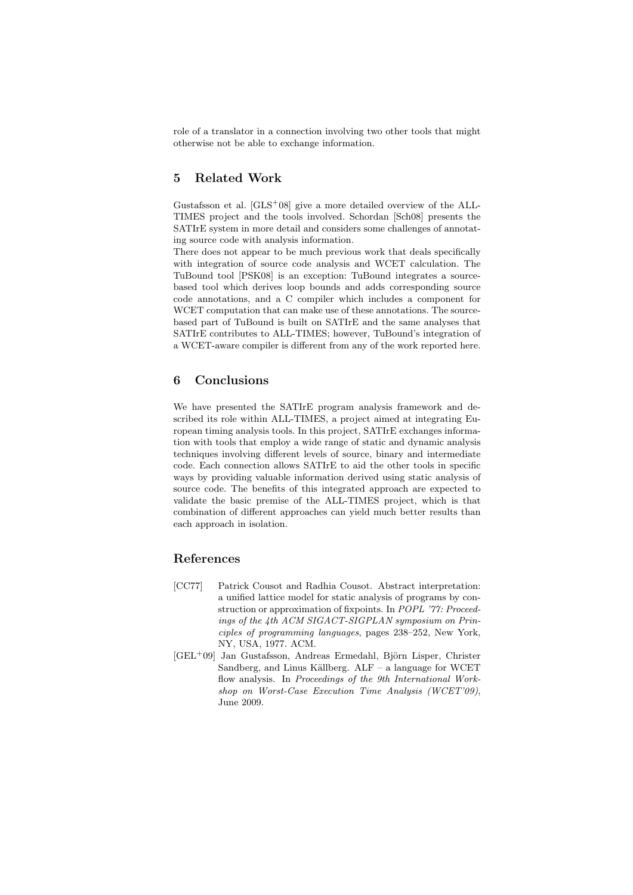role of a translator in a connection involving two other tools that might otherwise not be able to exchange information.

# 5 Related Work

Gustafsson et al.  $[GLS^+08]$  give a more detailed overview of the ALL-TIMES project and the tools involved. Schordan [Sch08] presents the SATIrE system in more detail and considers some challenges of annotating source code with analysis information.

There does not appear to be much previous work that deals specifically with integration of source code analysis and WCET calculation. The TuBound tool [PSK08] is an exception: TuBound integrates a sourcebased tool which derives loop bounds and adds corresponding source code annotations, and a C compiler which includes a component for WCET computation that can make use of these annotations. The sourcebased part of TuBound is built on SATIrE and the same analyses that SATIrE contributes to ALL-TIMES; however, TuBound's integration of a WCET-aware compiler is different from any of the work reported here.

# 6 Conclusions

We have presented the SATIrE program analysis framework and described its role within ALL-TIMES, a project aimed at integrating European timing analysis tools. In this project, SATIrE exchanges information with tools that employ a wide range of static and dynamic analysis techniques involving different levels of source, binary and intermediate code. Each connection allows SATIrE to aid the other tools in specific ways by providing valuable information derived using static analysis of source code. The benefits of this integrated approach are expected to validate the basic premise of the ALL-TIMES project, which is that combination of different approaches can yield much better results than each approach in isolation.

# References

- [CC77] Patrick Cousot and Radhia Cousot. Abstract interpretation: a unified lattice model for static analysis of programs by construction or approximation of fixpoints. In POPL '77: Proceedings of the 4th ACM SIGACT-SIGPLAN symposium on Principles of programming languages, pages 238–252, New York, NY, USA, 1977. ACM.
- $[GEL<sup>+</sup>09]$  Jan Gustafsson, Andreas Ermedahl, Björn Lisper, Christer Sandberg, and Linus Källberg.  $ALF - a$  language for WCET flow analysis. In Proceedings of the 9th International Workshop on Worst-Case Execution Time Analysis (WCET'09), June 2009.